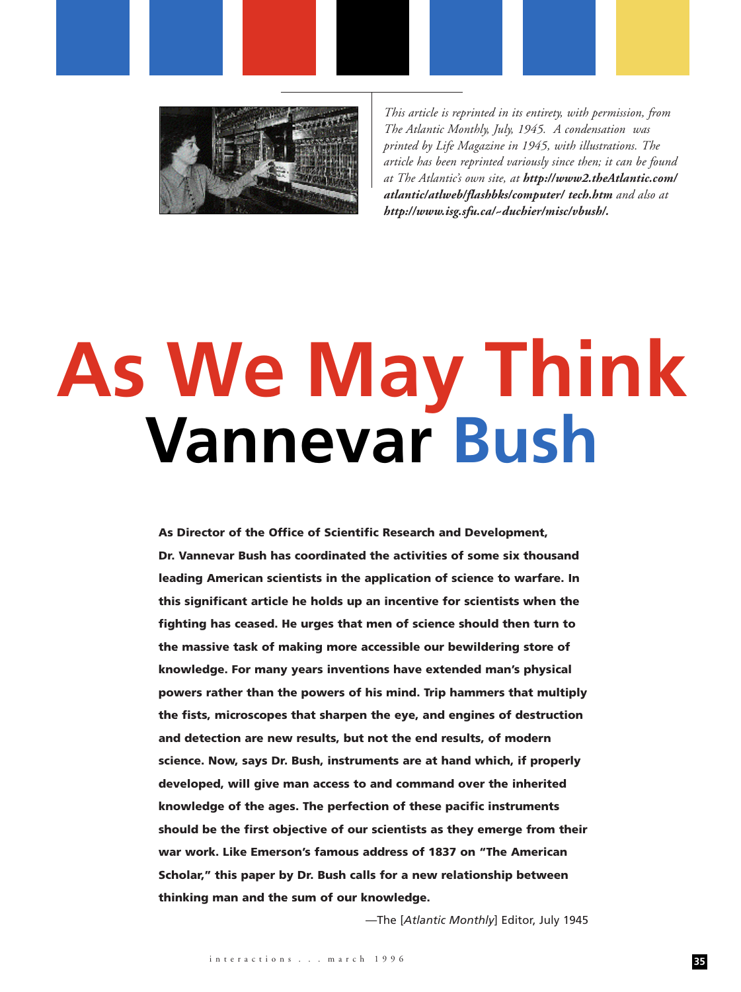

*This article is reprinted in its entirety, with permission, from The Atlantic Monthly, July, 1945. A condensation was printed by Life Magazine in 1945, with illustrations. The article has been reprinted variously since then; it can be found at The Atlantic's own site, at http://www2.theAtlantic.com/ atlantic/atlweb/flashbks/computer/ tech.htm and also at http://www.isg.sfu.ca/~duchier/misc/vbush/.*

## **As We May Think Vannevar Bush**

**As Director of the Office of Scientific Research and Development, Dr. Vannevar Bush has coordinated the activities of some six thousand leading American scientists in the application of science to warfare. In this significant article he holds up an incentive for scientists when the fighting has ceased. He urges that men of science should then turn to the massive task of making more accessible our bewildering store of knowledge. For many years inventions have extended man's physical powers rather than the powers of his mind. Trip hammers that multiply the fists, microscopes that sharpen the eye, and engines of destruction and detection are new results, but not the end results, of modern science. Now, says Dr. Bush, instruments are at hand which, if properly developed, will give man access to and command over the inherited knowledge of the ages. The perfection of these pacific instruments should be the first objective of our scientists as they emerge from their war work. Like Emerson's famous address of 1837 on "The American Scholar,'' this paper by Dr. Bush calls for a new relationship between thinking man and the sum of our knowledge.** 

—The [*Atlantic Monthly*] Editor, July 1945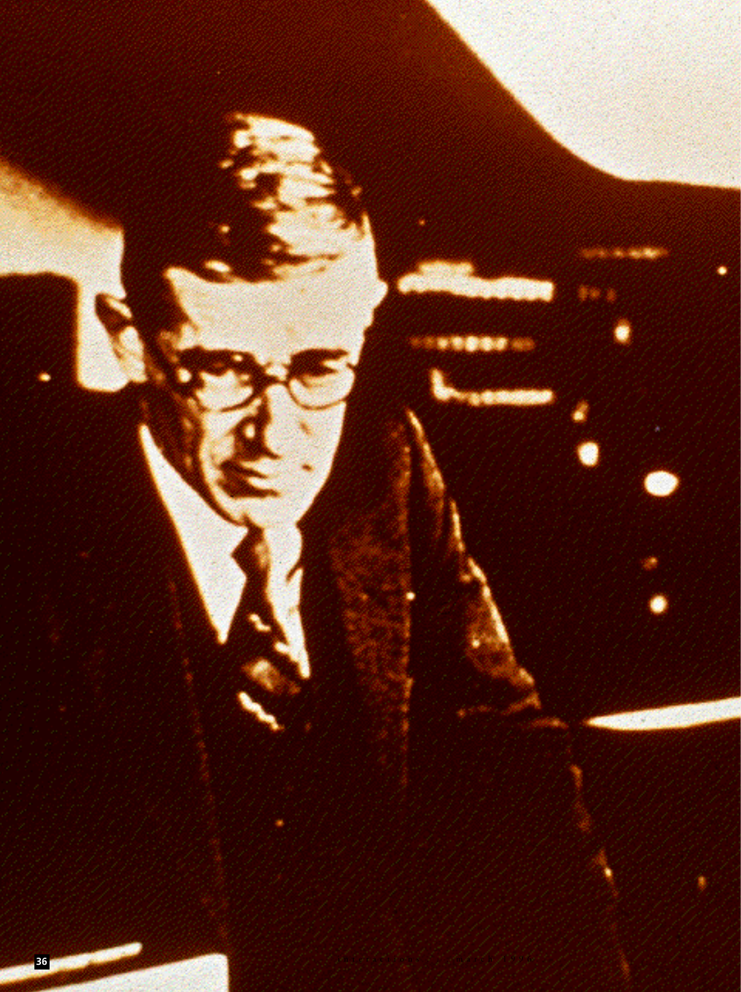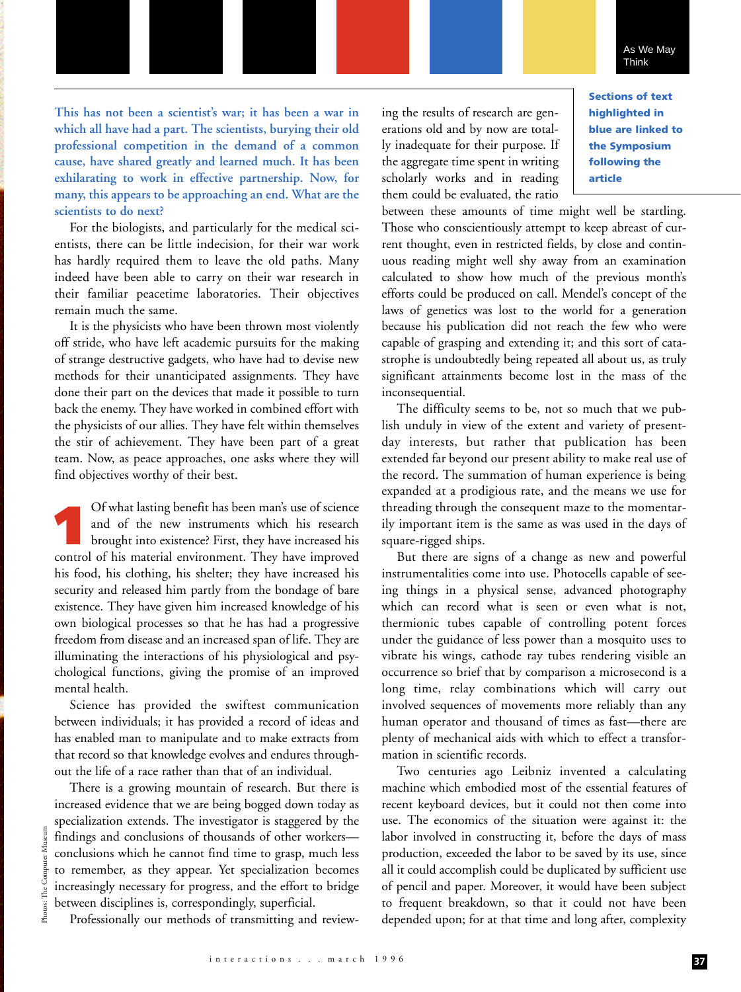**This has not been a scientist's war; it has been a war in which all have had a part. The scientists, burying their old professional competition in the demand of a common cause, have shared greatly and learned much. It has been exhilarating to work in effective partnership. Now, for many, this appears to be approaching an end. What are the scientists to do next?**

For the biologists, and particularly for the medical scientists, there can be little indecision, for their war work has hardly required them to leave the old paths. Many indeed have been able to carry on their war research in their familiar peacetime laboratories. Their objectives remain much the same.

It is the physicists who have been thrown most violently off stride, who have left academic pursuits for the making of strange destructive gadgets, who have had to devise new methods for their unanticipated assignments. They have done their part on the devices that made it possible to turn back the enemy. They have worked in combined effort with the physicists of our allies. They have felt within themselves the stir of achievement. They have been part of a great team. Now, as peace approaches, one asks where they will find objectives worthy of their best.

11 Of what lasting benefit has been man's use of science<br>and of the new instruments which his research<br>brought into existence? First, they have increased his<br>popular of his material optimizations Than have improved and of the new instruments which his research control of his material environment. They have improved his food, his clothing, his shelter; they have increased his security and released him partly from the bondage of bare existence. They have given him increased knowledge of his own biological processes so that he has had a progressive freedom from disease and an increased span of life. They are illuminating the interactions of his physiological and psychological functions, giving the promise of an improved mental health.

Science has provided the swiftest communication between individuals; it has provided a record of ideas and has enabled man to manipulate and to make extracts from that record so that knowledge evolves and endures throughout the life of a race rather than that of an individual.

There is a growing mountain of research. But there is increased evidence that we are being bogged down today as specialization extends. The investigator is staggered by the findings and conclusions of thousands of other workers conclusions which he cannot find time to grasp, much less to remember, as they appear. Yet specialization becomes increasingly necessary for progress, and the effort to bridge between disciplines is, correspondingly, superficial.

Photos: The Computer Museum

Photos:

Professionally our methods of transmitting and review-

ing the results of research are generations old and by now are totally inadequate for their purpose. If the aggregate time spent in writing scholarly works and in reading them could be evaluated, the ratio

**Sections of text highlighted in blue are linked to the Symposium following the article** 

between these amounts of time might well be startling. Those who conscientiously attempt to keep abreast of current thought, even in restricted fields, by close and continuous reading might well shy away from an examination calculated to show how much of the previous month's efforts could be produced on call. Mendel's concept of the laws of genetics was lost to the world for a generation because his publication did not reach the few who were capable of grasping and extending it; and this sort of catastrophe is undoubtedly being repeated all about us, as truly significant attainments become lost in the mass of the inconsequential.

The difficulty seems to be, not so much that we publish unduly in view of the extent and variety of presentday interests, but rather that publication has been extended far beyond our present ability to make real use of the record. The summation of human experience is being expanded at a prodigious rate, and the means we use for threading through the consequent maze to the momentarily important item is the same as was used in the days of square-rigged ships.

But there are signs of a change as new and powerful instrumentalities come into use. Photocells capable of seeing things in a physical sense, advanced photography which can record what is seen or even what is not, thermionic tubes capable of controlling potent forces under the guidance of less power than a mosquito uses to vibrate his wings, cathode ray tubes rendering visible an occurrence so brief that by comparison a microsecond is a long time, relay combinations which will carry out involved sequences of movements more reliably than any human operator and thousand of times as fast—there are plenty of mechanical aids with which to effect a transformation in scientific records.

Two centuries ago Leibniz invented a calculating machine which embodied most of the essential features of recent keyboard devices, but it could not then come into use. The economics of the situation were against it: the labor involved in constructing it, before the days of mass production, exceeded the labor to be saved by its use, since all it could accomplish could be duplicated by sufficient use of pencil and paper. Moreover, it would have been subject to frequent breakdown, so that it could not have been depended upon; for at that time and long after, complexity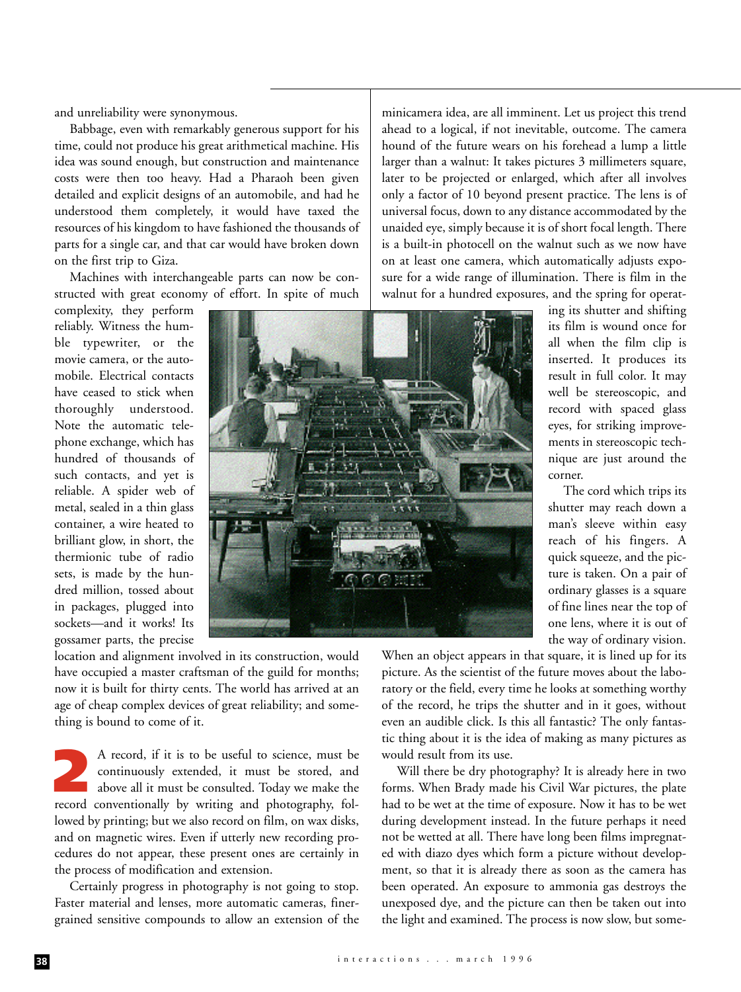and unreliability were synonymous.

Babbage, even with remarkably generous support for his time, could not produce his great arithmetical machine. His idea was sound enough, but construction and maintenance costs were then too heavy. Had a Pharaoh been given detailed and explicit designs of an automobile, and had he understood them completely, it would have taxed the resources of his kingdom to have fashioned the thousands of parts for a single car, and that car would have broken down on the first trip to Giza.

Machines with interchangeable parts can now be constructed with great economy of effort. In spite of much

complexity, they perform reliably. Witness the humble typewriter, or the movie camera, or the automobile. Electrical contacts have ceased to stick when thoroughly understood. Note the automatic telephone exchange, which has hundred of thousands of such contacts, and yet is reliable. A spider web of metal, sealed in a thin glass container, a wire heated to brilliant glow, in short, the thermionic tube of radio sets, is made by the hundred million, tossed about in packages, plugged into sockets—and it works! Its gossamer parts, the precise



location and alignment involved in its construction, would have occupied a master craftsman of the guild for months; now it is built for thirty cents. The world has arrived at an age of cheap complex devices of great reliability; and something is bound to come of it.

**2** A record, if it is to be useful to science, must be continuously extended, it must be stored, and above all it must be consulted. Today we make the record conventionally by writing and photography following continuously extended, it must be stored, and record conventionally by writing and photography, followed by printing; but we also record on film, on wax disks, and on magnetic wires. Even if utterly new recording procedures do not appear, these present ones are certainly in the process of modification and extension.

Certainly progress in photography is not going to stop. Faster material and lenses, more automatic cameras, finergrained sensitive compounds to allow an extension of the

minicamera idea, are all imminent. Let us project this trend ahead to a logical, if not inevitable, outcome. The camera hound of the future wears on his forehead a lump a little larger than a walnut: It takes pictures 3 millimeters square, later to be projected or enlarged, which after all involves only a factor of 10 beyond present practice. The lens is of universal focus, down to any distance accommodated by the unaided eye, simply because it is of short focal length. There is a built-in photocell on the walnut such as we now have on at least one camera, which automatically adjusts exposure for a wide range of illumination. There is film in the walnut for a hundred exposures, and the spring for operat-

> ing its shutter and shifting its film is wound once for all when the film clip is inserted. It produces its result in full color. It may well be stereoscopic, and record with spaced glass eyes, for striking improvements in stereoscopic technique are just around the corner.

> The cord which trips its shutter may reach down a man's sleeve within easy reach of his fingers. A quick squeeze, and the picture is taken. On a pair of ordinary glasses is a square of fine lines near the top of one lens, where it is out of the way of ordinary vision.

When an object appears in that square, it is lined up for its picture. As the scientist of the future moves about the laboratory or the field, every time he looks at something worthy of the record, he trips the shutter and in it goes, without even an audible click. Is this all fantastic? The only fantastic thing about it is the idea of making as many pictures as would result from its use.

Will there be dry photography? It is already here in two forms. When Brady made his Civil War pictures, the plate had to be wet at the time of exposure. Now it has to be wet during development instead. In the future perhaps it need not be wetted at all. There have long been films impregnated with diazo dyes which form a picture without development, so that it is already there as soon as the camera has been operated. An exposure to ammonia gas destroys the unexposed dye, and the picture can then be taken out into the light and examined. The process is now slow, but some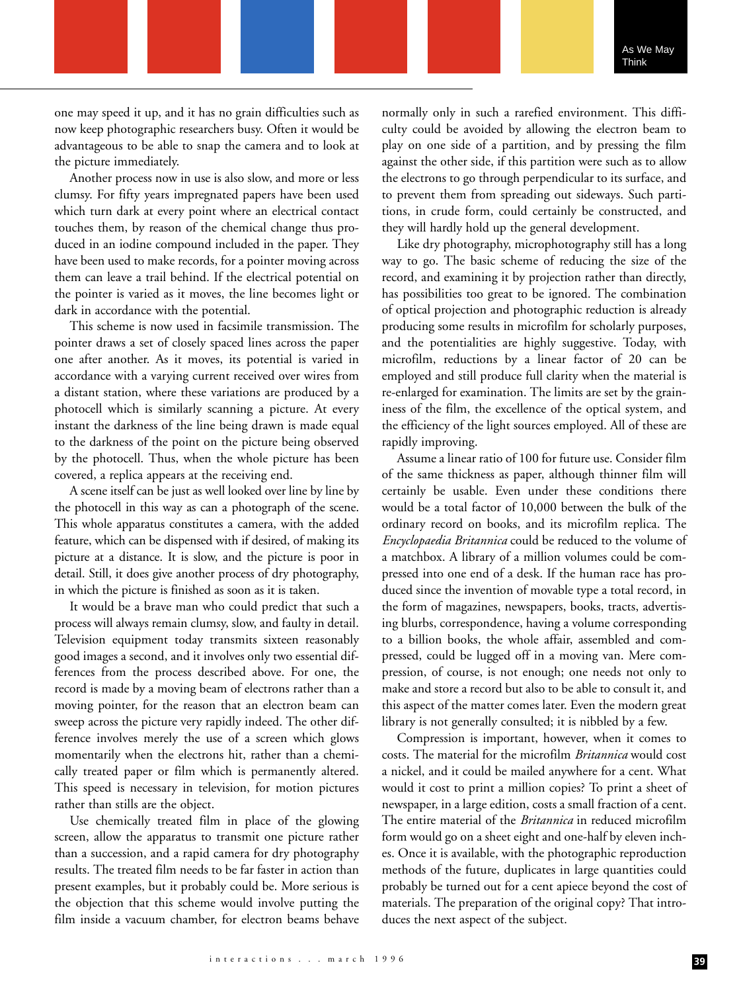one may speed it up, and it has no grain difficulties such as now keep photographic researchers busy. Often it would be advantageous to be able to snap the camera and to look at the picture immediately.

Another process now in use is also slow, and more or less clumsy. For fifty years impregnated papers have been used which turn dark at every point where an electrical contact touches them, by reason of the chemical change thus produced in an iodine compound included in the paper. They have been used to make records, for a pointer moving across them can leave a trail behind. If the electrical potential on the pointer is varied as it moves, the line becomes light or dark in accordance with the potential.

This scheme is now used in facsimile transmission. The pointer draws a set of closely spaced lines across the paper one after another. As it moves, its potential is varied in accordance with a varying current received over wires from a distant station, where these variations are produced by a photocell which is similarly scanning a picture. At every instant the darkness of the line being drawn is made equal to the darkness of the point on the picture being observed by the photocell. Thus, when the whole picture has been covered, a replica appears at the receiving end.

A scene itself can be just as well looked over line by line by the photocell in this way as can a photograph of the scene. This whole apparatus constitutes a camera, with the added feature, which can be dispensed with if desired, of making its picture at a distance. It is slow, and the picture is poor in detail. Still, it does give another process of dry photography, in which the picture is finished as soon as it is taken.

It would be a brave man who could predict that such a process will always remain clumsy, slow, and faulty in detail. Television equipment today transmits sixteen reasonably good images a second, and it involves only two essential differences from the process described above. For one, the record is made by a moving beam of electrons rather than a moving pointer, for the reason that an electron beam can sweep across the picture very rapidly indeed. The other difference involves merely the use of a screen which glows momentarily when the electrons hit, rather than a chemically treated paper or film which is permanently altered. This speed is necessary in television, for motion pictures rather than stills are the object.

Use chemically treated film in place of the glowing screen, allow the apparatus to transmit one picture rather than a succession, and a rapid camera for dry photography results. The treated film needs to be far faster in action than present examples, but it probably could be. More serious is the objection that this scheme would involve putting the film inside a vacuum chamber, for electron beams behave

normally only in such a rarefied environment. This difficulty could be avoided by allowing the electron beam to play on one side of a partition, and by pressing the film against the other side, if this partition were such as to allow the electrons to go through perpendicular to its surface, and to prevent them from spreading out sideways. Such partitions, in crude form, could certainly be constructed, and they will hardly hold up the general development.

Like dry photography, microphotography still has a long way to go. The basic scheme of reducing the size of the record, and examining it by projection rather than directly, has possibilities too great to be ignored. The combination of optical projection and photographic reduction is already producing some results in microfilm for scholarly purposes, and the potentialities are highly suggestive. Today, with microfilm, reductions by a linear factor of 20 can be employed and still produce full clarity when the material is re-enlarged for examination. The limits are set by the graininess of the film, the excellence of the optical system, and the efficiency of the light sources employed. All of these are rapidly improving.

Assume a linear ratio of 100 for future use. Consider film of the same thickness as paper, although thinner film will certainly be usable. Even under these conditions there would be a total factor of 10,000 between the bulk of the ordinary record on books, and its microfilm replica. The *Encyclopaedia Britannica* could be reduced to the volume of a matchbox. A library of a million volumes could be compressed into one end of a desk. If the human race has produced since the invention of movable type a total record, in the form of magazines, newspapers, books, tracts, advertising blurbs, correspondence, having a volume corresponding to a billion books, the whole affair, assembled and compressed, could be lugged off in a moving van. Mere compression, of course, is not enough; one needs not only to make and store a record but also to be able to consult it, and this aspect of the matter comes later. Even the modern great library is not generally consulted; it is nibbled by a few.

Compression is important, however, when it comes to costs. The material for the microfilm *Britannica* would cost a nickel, and it could be mailed anywhere for a cent. What would it cost to print a million copies? To print a sheet of newspaper, in a large edition, costs a small fraction of a cent. The entire material of the *Britannica* in reduced microfilm form would go on a sheet eight and one-half by eleven inches. Once it is available, with the photographic reproduction methods of the future, duplicates in large quantities could probably be turned out for a cent apiece beyond the cost of materials. The preparation of the original copy? That introduces the next aspect of the subject.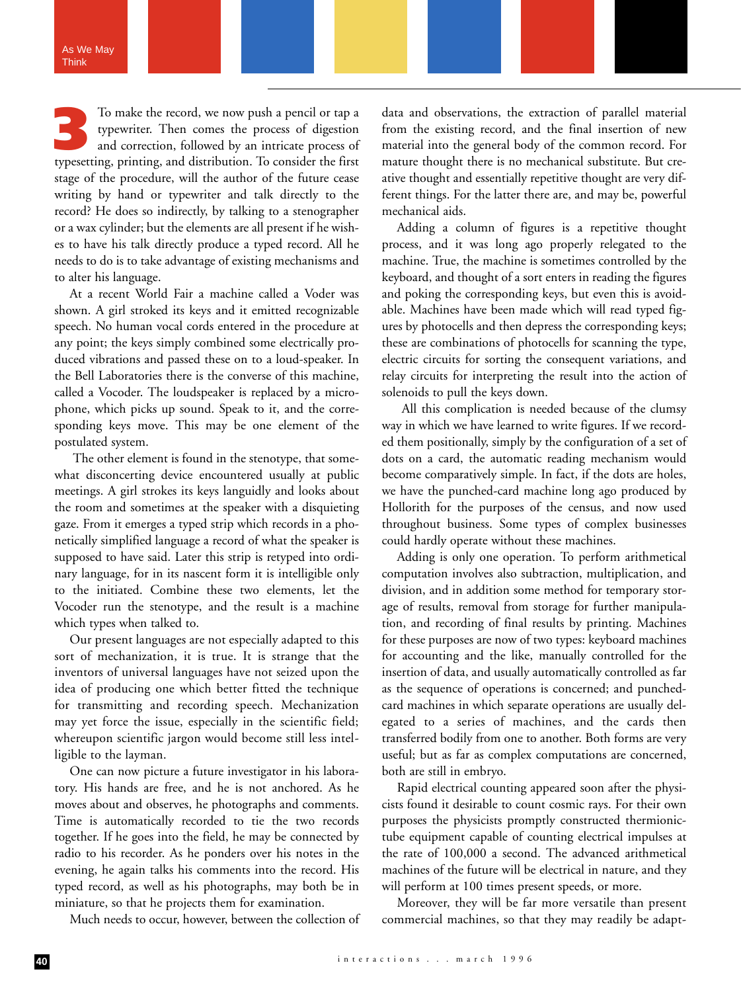To make the record, we now push a pencil or tap a typewriter. Then comes the process of digestion and correction, followed by an intricate process of typesetting printing and distribution. To consider the first typewriter. Then comes the process of digestion typesetting, printing, and distribution. To consider the first stage of the procedure, will the author of the future cease writing by hand or typewriter and talk directly to the record? He does so indirectly, by talking to a stenographer or a wax cylinder; but the elements are all present if he wishes to have his talk directly produce a typed record. All he needs to do is to take advantage of existing mechanisms and to alter his language.

At a recent World Fair a machine called a Voder was shown. A girl stroked its keys and it emitted recognizable speech. No human vocal cords entered in the procedure at any point; the keys simply combined some electrically produced vibrations and passed these on to a loud-speaker. In the Bell Laboratories there is the converse of this machine, called a Vocoder. The loudspeaker is replaced by a microphone, which picks up sound. Speak to it, and the corresponding keys move. This may be one element of the postulated system.

The other element is found in the stenotype, that somewhat disconcerting device encountered usually at public meetings. A girl strokes its keys languidly and looks about the room and sometimes at the speaker with a disquieting gaze. From it emerges a typed strip which records in a phonetically simplified language a record of what the speaker is supposed to have said. Later this strip is retyped into ordinary language, for in its nascent form it is intelligible only to the initiated. Combine these two elements, let the Vocoder run the stenotype, and the result is a machine which types when talked to.

Our present languages are not especially adapted to this sort of mechanization, it is true. It is strange that the inventors of universal languages have not seized upon the idea of producing one which better fitted the technique for transmitting and recording speech. Mechanization may yet force the issue, especially in the scientific field; whereupon scientific jargon would become still less intelligible to the layman.

One can now picture a future investigator in his laboratory. His hands are free, and he is not anchored. As he moves about and observes, he photographs and comments. Time is automatically recorded to tie the two records together. If he goes into the field, he may be connected by radio to his recorder. As he ponders over his notes in the evening, he again talks his comments into the record. His typed record, as well as his photographs, may both be in miniature, so that he projects them for examination.

Much needs to occur, however, between the collection of

data and observations, the extraction of parallel material from the existing record, and the final insertion of new material into the general body of the common record. For mature thought there is no mechanical substitute. But creative thought and essentially repetitive thought are very different things. For the latter there are, and may be, powerful mechanical aids.

Adding a column of figures is a repetitive thought process, and it was long ago properly relegated to the machine. True, the machine is sometimes controlled by the keyboard, and thought of a sort enters in reading the figures and poking the corresponding keys, but even this is avoidable. Machines have been made which will read typed figures by photocells and then depress the corresponding keys; these are combinations of photocells for scanning the type, electric circuits for sorting the consequent variations, and relay circuits for interpreting the result into the action of solenoids to pull the keys down.

All this complication is needed because of the clumsy way in which we have learned to write figures. If we recorded them positionally, simply by the configuration of a set of dots on a card, the automatic reading mechanism would become comparatively simple. In fact, if the dots are holes, we have the punched-card machine long ago produced by Hollorith for the purposes of the census, and now used throughout business. Some types of complex businesses could hardly operate without these machines.

Adding is only one operation. To perform arithmetical computation involves also subtraction, multiplication, and division, and in addition some method for temporary storage of results, removal from storage for further manipulation, and recording of final results by printing. Machines for these purposes are now of two types: keyboard machines for accounting and the like, manually controlled for the insertion of data, and usually automatically controlled as far as the sequence of operations is concerned; and punchedcard machines in which separate operations are usually delegated to a series of machines, and the cards then transferred bodily from one to another. Both forms are very useful; but as far as complex computations are concerned, both are still in embryo.

Rapid electrical counting appeared soon after the physicists found it desirable to count cosmic rays. For their own purposes the physicists promptly constructed thermionictube equipment capable of counting electrical impulses at the rate of 100,000 a second. The advanced arithmetical machines of the future will be electrical in nature, and they will perform at 100 times present speeds, or more.

Moreover, they will be far more versatile than present commercial machines, so that they may readily be adapt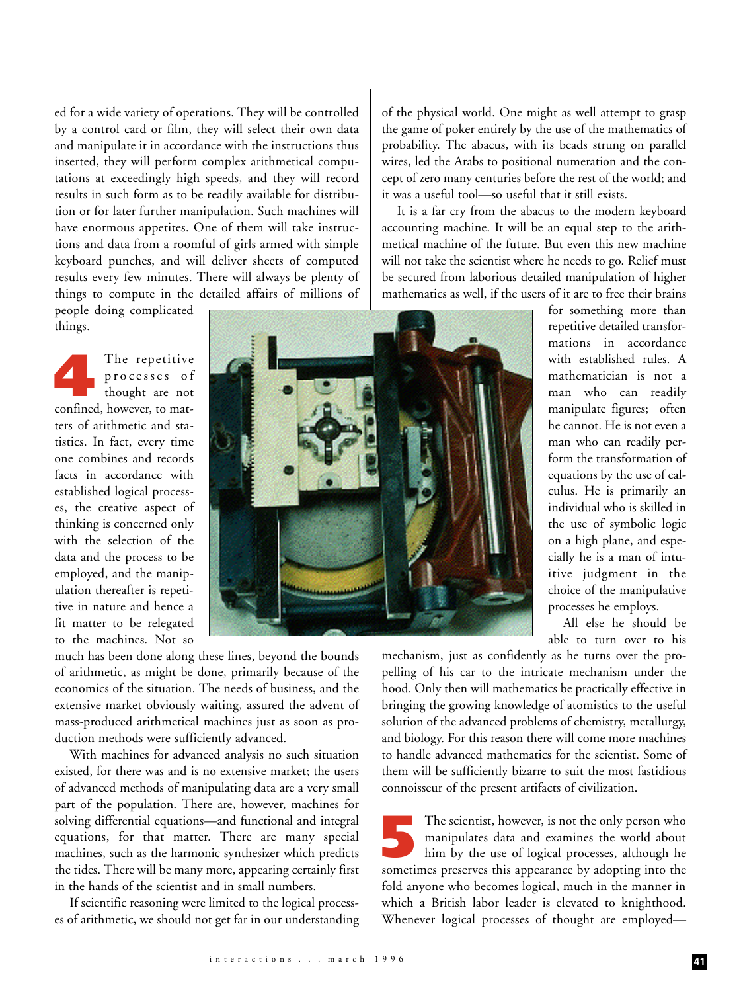ed for a wide variety of operations. They will be controlled by a control card or film, they will select their own data and manipulate it in accordance with the instructions thus inserted, they will perform complex arithmetical computations at exceedingly high speeds, and they will record results in such form as to be readily available for distribution or for later further manipulation. Such machines will have enormous appetites. One of them will take instructions and data from a roomful of girls armed with simple keyboard punches, and will deliver sheets of computed results every few minutes. There will always be plenty of things to compute in the detailed affairs of millions of

people doing complicated things.

The repetitive<br>
processes of<br>
thought are not<br>
confined however to met p r ocesses of confined, however, to matters of arithmetic and statistics. In fact, every time one combines and records facts in accordance with established logical processes, the creative aspect of thinking is concerned only with the selection of the data and the process to be employed, and the manipulation thereafter is repetitive in nature and hence a fit matter to be relegated to the machines. Not so



of the physical world. One might as well attempt to grasp the game of poker entirely by the use of the mathematics of probability. The abacus, with its beads strung on parallel wires, led the Arabs to positional numeration and the concept of zero many centuries before the rest of the world; and it was a useful tool—so useful that it still exists.

It is a far cry from the abacus to the modern keyboard accounting machine. It will be an equal step to the arithmetical machine of the future. But even this new machine will not take the scientist where he needs to go. Relief must be secured from laborious detailed manipulation of higher mathematics as well, if the users of it are to free their brains

> for something more than repetitive detailed transformations in accordance with established rules. A mathematician is not a man who can readily manipulate figures; often he cannot. He is not even a man who can readily perform the transformation of equations by the use of calculus. He is primarily an individual who is skilled in the use of symbolic logic on a high plane, and especially he is a man of intuitive judgment in the choice of the manipulative processes he employs.

All else he should be able to turn over to his

much has been done along these lines, beyond the bounds of arithmetic, as might be done, primarily because of the economics of the situation. The needs of business, and the extensive market obviously waiting, assured the advent of mass-produced arithmetical machines just as soon as production methods were sufficiently advanced.

With machines for advanced analysis no such situation existed, for there was and is no extensive market; the users of advanced methods of manipulating data are a very small part of the population. There are, however, machines for solving differential equations—and functional and integral equations, for that matter. There are many special machines, such as the harmonic synthesizer which predicts the tides. There will be many more, appearing certainly first in the hands of the scientist and in small numbers.

If scientific reasoning were limited to the logical processes of arithmetic, we should not get far in our understanding

mechanism, just as confidently as he turns over the propelling of his car to the intricate mechanism under the hood. Only then will mathematics be practically effective in bringing the growing knowledge of atomistics to the useful solution of the advanced problems of chemistry, metallurgy, and biology. For this reason there will come more machines to handle advanced mathematics for the scientist. Some of them will be sufficiently bizarre to suit the most fastidious connoisseur of the present artifacts of civilization.

The scientist, however, is not the only person who<br>manipulates data and examines the world about<br>him by the use of logical processes, although he<br>cometimes presented by a school of the same manipulates data and examines the world about sometimes preserves this appearance by adopting into the fold anyone who becomes logical, much in the manner in which a British labor leader is elevated to knighthood. Whenever logical processes of thought are employed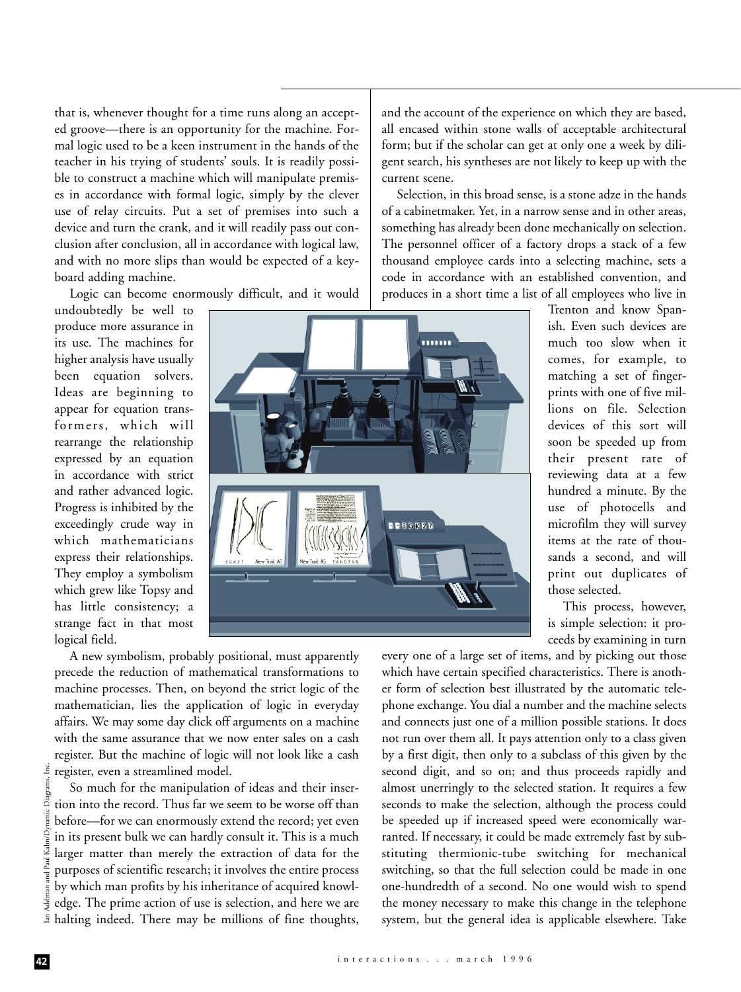that is, whenever thought for a time runs along an accepted groove—there is an opportunity for the machine. Formal logic used to be a keen instrument in the hands of the teacher in his trying of students' souls. It is readily possible to construct a machine which will manipulate premises in accordance with formal logic, simply by the clever use of relay circuits. Put a set of premises into such a device and turn the crank, and it will readily pass out conclusion after conclusion, all in accordance with logical law, and with no more slips than would be expected of a keyboard adding machine.

Logic can become enormously difficult, and it would

undoubtedly be well to produce more assurance in its use. The machines for higher analysis have usually been equation solvers. Ideas are beginning to appear for equation transformers, which will rearrange the relationship expressed by an equation in accordance with strict and rather advanced logic. Progress is inhibited by the exceedingly crude way in which mathematicians express their relationships. They employ a symbolism which grew like Topsy and has little consistency; a strange fact in that most logical field.



and the account of the experience on which they are based, all encased within stone walls of acceptable architectural form; but if the scholar can get at only one a week by diligent search, his syntheses are not likely to keep up with the current scene.

Selection, in this broad sense, is a stone adze in the hands of a cabinetmaker. Yet, in a narrow sense and in other areas, something has already been done mechanically on selection. The personnel officer of a factory drops a stack of a few thousand employee cards into a selecting machine, sets a code in accordance with an established convention, and produces in a short time a list of all employees who live in

> Trenton and know Spanish. Even such devices are much too slow when it comes, for example, to matching a set of fingerprints with one of five millions on file. Selection devices of this sort will soon be speeded up from their present rate of reviewing data at a few hundred a minute. By the use of photocells and microfilm they will survey items at the rate of thousands a second, and will print out duplicates of those selected.

This process, however, is simple selection: it proceeds by examining in turn

A new symbolism, probably positional, must apparently precede the reduction of mathematical transformations to machine processes. Then, on beyond the strict logic of the mathematician, lies the application of logic in everyday affairs. We may some day click off arguments on a machine with the same assurance that we now enter sales on a cash register. But the machine of logic will not look like a cash register, even a streamlined model.

Ian Adelman and Paul Kahn/Dynamic Diagrams, Inc. So much for the manipulation of ideas and their inser- $\frac{1}{2}$  tion into the record. Thus far we seem to be worse off than before—for we can enormously extend the record; yet even 'nД in its present bulk we can hardly consult it. This is a much .<br>Kat larger matter than merely the extraction of data for the purposes of scientific research; it involves the entire process by which man profits by his inheritance of acquired knowledge. The prime action of use is selection, and here we are deli halting indeed. There may be millions of fine thoughts,

every one of a large set of items, and by picking out those which have certain specified characteristics. There is another form of selection best illustrated by the automatic telephone exchange. You dial a number and the machine selects and connects just one of a million possible stations. It does not run over them all. It pays attention only to a class given by a first digit, then only to a subclass of this given by the second digit, and so on; and thus proceeds rapidly and almost unerringly to the selected station. It requires a few seconds to make the selection, although the process could be speeded up if increased speed were economically warranted. If necessary, it could be made extremely fast by substituting thermionic-tube switching for mechanical switching, so that the full selection could be made in one one-hundredth of a second. No one would wish to spend the money necessary to make this change in the telephone system, but the general idea is applicable elsewhere. Take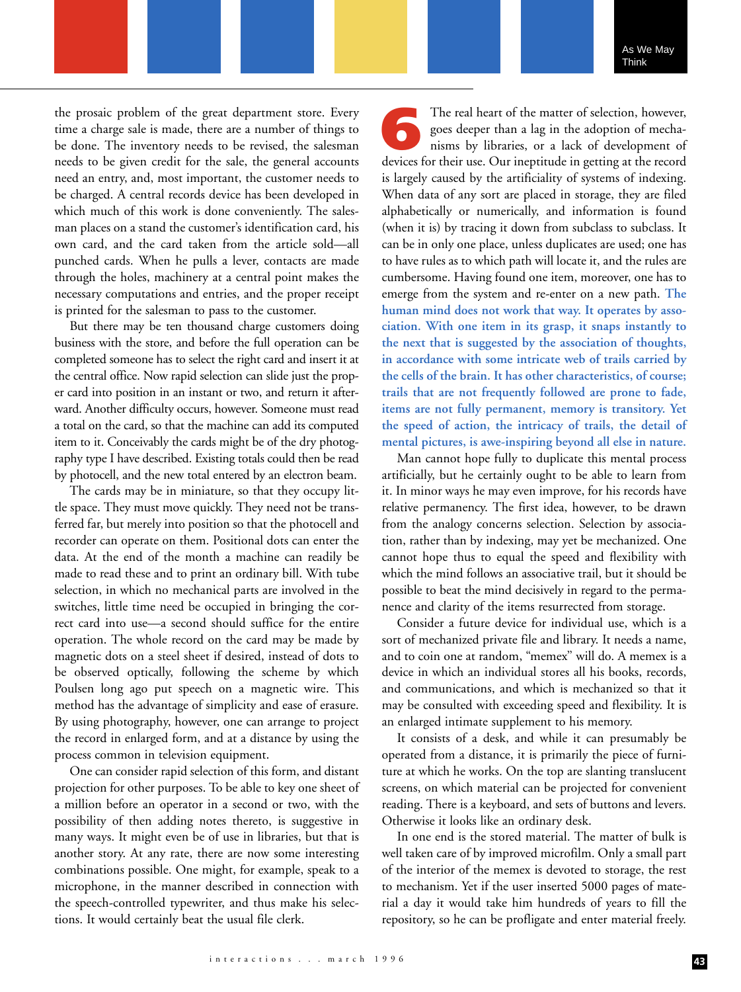the prosaic problem of the great department store. Every time a charge sale is made, there are a number of things to be done. The inventory needs to be revised, the salesman needs to be given credit for the sale, the general accounts need an entry, and, most important, the customer needs to be charged. A central records device has been developed in which much of this work is done conveniently. The salesman places on a stand the customer's identification card, his own card, and the card taken from the article sold—all punched cards. When he pulls a lever, contacts are made through the holes, machinery at a central point makes the necessary computations and entries, and the proper receipt is printed for the salesman to pass to the customer.

But there may be ten thousand charge customers doing business with the store, and before the full operation can be completed someone has to select the right card and insert it at the central office. Now rapid selection can slide just the proper card into position in an instant or two, and return it afterward. Another difficulty occurs, however. Someone must read a total on the card, so that the machine can add its computed item to it. Conceivably the cards might be of the dry photography type I have described. Existing totals could then be read by photocell, and the new total entered by an electron beam.

The cards may be in miniature, so that they occupy little space. They must move quickly. They need not be transferred far, but merely into position so that the photocell and recorder can operate on them. Positional dots can enter the data. At the end of the month a machine can readily be made to read these and to print an ordinary bill. With tube selection, in which no mechanical parts are involved in the switches, little time need be occupied in bringing the correct card into use—a second should suffice for the entire operation. The whole record on the card may be made by magnetic dots on a steel sheet if desired, instead of dots to be observed optically, following the scheme by which Poulsen long ago put speech on a magnetic wire. This method has the advantage of simplicity and ease of erasure. By using photography, however, one can arrange to project the record in enlarged form, and at a distance by using the process common in television equipment.

One can consider rapid selection of this form, and distant projection for other purposes. To be able to key one sheet of a million before an operator in a second or two, with the possibility of then adding notes thereto, is suggestive in many ways. It might even be of use in libraries, but that is another story. At any rate, there are now some interesting combinations possible. One might, for example, speak to a microphone, in the manner described in connection with the speech-controlled typewriter, and thus make his selections. It would certainly beat the usual file clerk.

The real heart of the matter of selection, however,<br>goes deeper than a lag in the adoption of mecha-<br>nisms by libraries, or a lack of development of<br>devices for their use. Our inentitude in certing at the record goes deeper than a lag in the adoption of mechadevices for their use. Our ineptitude in getting at the record is largely caused by the artificiality of systems of indexing. When data of any sort are placed in storage, they are filed alphabetically or numerically, and information is found (when it is) by tracing it down from subclass to subclass. It can be in only one place, unless duplicates are used; one has to have rules as to which path will locate it, and the rules are cumbersome. Having found one item, moreover, one has to emerge from the system and re-enter on a new path. **The human mind does not work that way. It operates by association. With one item in its grasp, it snaps instantly to the next that is suggested by the association of thoughts, in accordance with some intricate web of trails carried by the cells of the brain. It has other characteristics, of course; trails that are not frequently followed are prone to fade, items are not fully permanent, memory is transitory. Yet the speed of action, the intricacy of trails, the detail of mental pictures, is awe-inspiring beyond all else in nature.**

Man cannot hope fully to duplicate this mental process artificially, but he certainly ought to be able to learn from it. In minor ways he may even improve, for his records have relative permanency. The first idea, however, to be drawn from the analogy concerns selection. Selection by association, rather than by indexing, may yet be mechanized. One cannot hope thus to equal the speed and flexibility with which the mind follows an associative trail, but it should be possible to beat the mind decisively in regard to the permanence and clarity of the items resurrected from storage.

Consider a future device for individual use, which is a sort of mechanized private file and library. It needs a name, and to coin one at random, "memex'' will do. A memex is a device in which an individual stores all his books, records, and communications, and which is mechanized so that it may be consulted with exceeding speed and flexibility. It is an enlarged intimate supplement to his memory.

It consists of a desk, and while it can presumably be operated from a distance, it is primarily the piece of furniture at which he works. On the top are slanting translucent screens, on which material can be projected for convenient reading. There is a keyboard, and sets of buttons and levers. Otherwise it looks like an ordinary desk.

In one end is the stored material. The matter of bulk is well taken care of by improved microfilm. Only a small part of the interior of the memex is devoted to storage, the rest to mechanism. Yet if the user inserted 5000 pages of material a day it would take him hundreds of years to fill the repository, so he can be profligate and enter material freely.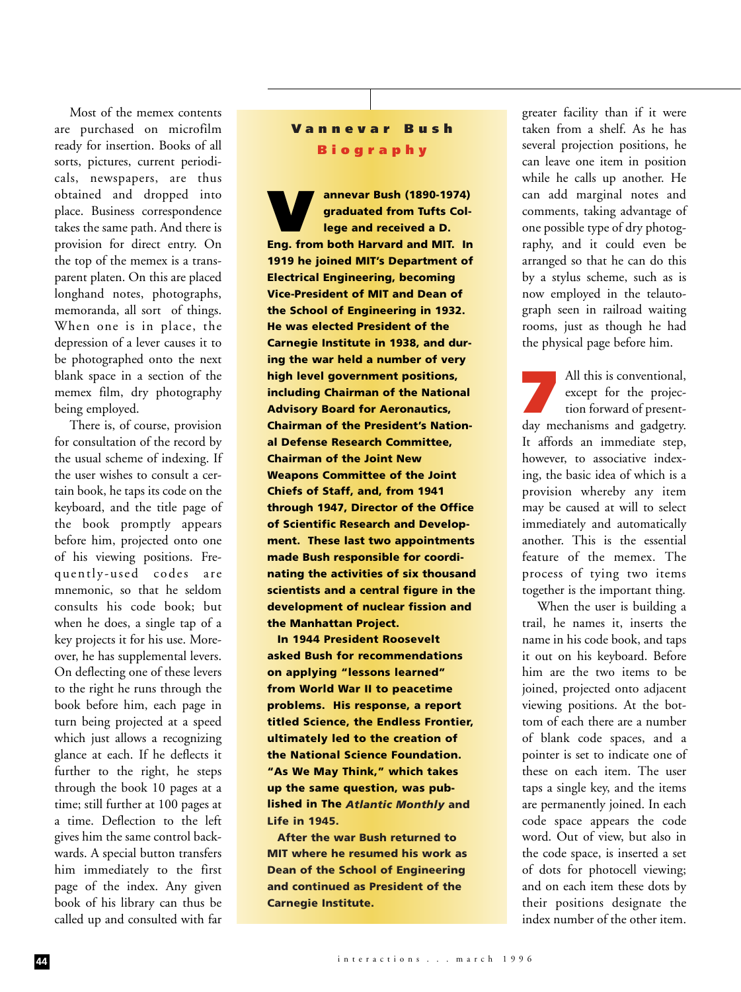Most of the memex contents are purchased on microfilm ready for insertion. Books of all sorts, pictures, current periodicals, newspapers, are thus obtained and dropped into place. Business correspondence takes the same path. And there is provision for direct entry. On the top of the memex is a transparent platen. On this are placed longhand notes, photographs, memoranda, all sort of things. When one is in place, the depression of a lever causes it to be photographed onto the next blank space in a section of the memex film, dry photography being employed.

There is, of course, provision for consultation of the record by the usual scheme of indexing. If the user wishes to consult a certain book, he taps its code on the keyboard, and the title page of the book promptly appears before him, projected onto one of his viewing positions. Frequently-used codes are mnemonic, so that he seldom consults his code book; but when he does, a single tap of a key projects it for his use. Moreover, he has supplemental levers. On deflecting one of these levers to the right he runs through the book before him, each page in turn being projected at a speed which just allows a recognizing glance at each. If he deflects it further to the right, he steps through the book 10 pages at a time; still further at 100 pages at a time. Deflection to the left gives him the same control backwards. A special button transfers him immediately to the first page of the index. Any given book of his library can thus be called up and consulted with far

## **V annevar Bush Biography**

**V annevar Bush (1890-1974) graduated from Tufts College and received a D. Eng. from both Harvard and MIT. In 1919 he joined MIT's Department of Electrical Engineering, becoming Vice-President of MIT and Dean of the School of Engineering in 1932. He was elected President of the Carnegie Institute in 1938, and during the war held a number of very high level government positions, including Chairman of the National Advisory Board for Aeronautics, Chairman of the President's National Defense Research Committee, Chairman of the Joint New Weapons Committee of the Joint Chiefs of Staff, and, from 1941 through 1947, Director of the Office of Scientific Research and Development. These last two appointments made Bush responsible for coordinating the activities of six thousand scientists and a central figure in the development of nuclear fission and the Manhattan Project.** 

**In 1944 President Roosevelt asked Bush for recommendations on applying "lessons learned" from World War II to peacetime problems. His response, a report titled Science, the Endless Frontier, ultimately led to the creation of the National Science Foundation. "As We May Think," which takes up the same question, was published in The** *Atlantic Monthly* **and Life in 1945.**

**After the war Bush returned to MIT where he resumed his work as Dean of the School of Engineering and continued as President of the Carnegie Institute.**

greater facility than if it were taken from a shelf. As he has several projection positions, he can leave one item in position while he calls up another. He can add marginal notes and comments, taking advantage of one possible type of dry photography, and it could even be arranged so that he can do this by a stylus scheme, such as is now employed in the telautograph seen in railroad waiting rooms, just as though he had the physical page before him.

All this is conventional,<br>except for the projec-<br>tion forward of presentexcept for the projection forward of presentday mechanisms and gadgetry. It affords an immediate step, however, to associative indexing, the basic idea of which is a provision whereby any item may be caused at will to select immediately and automatically another. This is the essential feature of the memex. The process of tying two items together is the important thing.

When the user is building a trail, he names it, inserts the name in his code book, and taps it out on his keyboard. Before him are the two items to be joined, projected onto adjacent viewing positions. At the bottom of each there are a number of blank code spaces, and a pointer is set to indicate one of these on each item. The user taps a single key, and the items are permanently joined. In each code space appears the code word. Out of view, but also in the code space, is inserted a set of dots for photocell viewing; and on each item these dots by their positions designate the index number of the other item.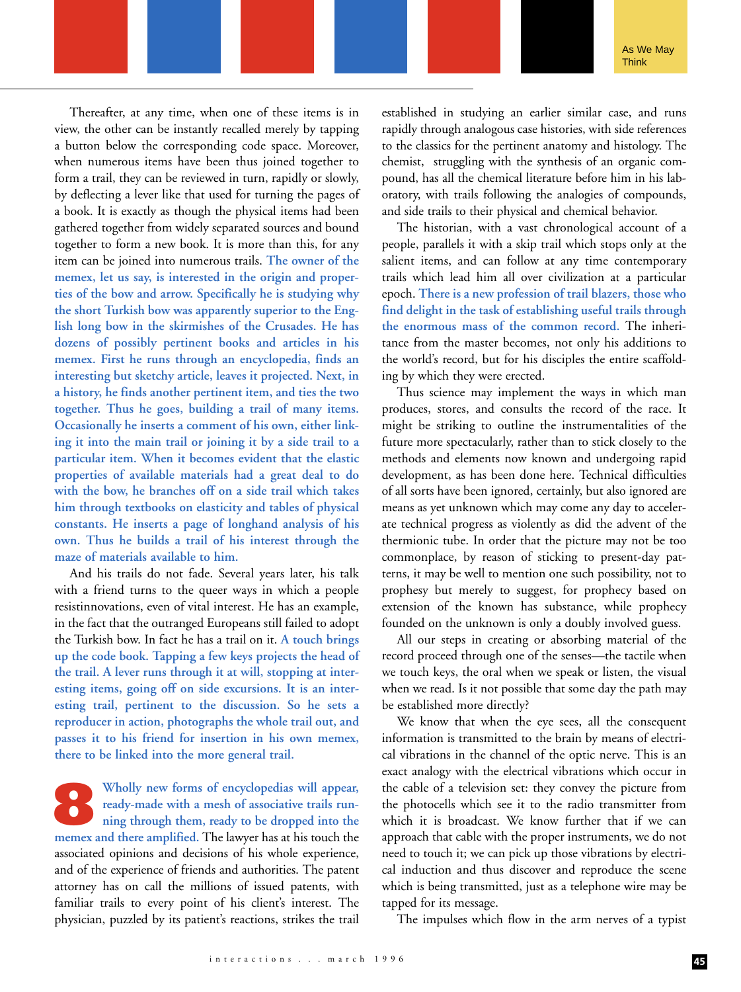Thereafter, at any time, when one of these items is in view, the other can be instantly recalled merely by tapping a button below the corresponding code space. Moreover, when numerous items have been thus joined together to form a trail, they can be reviewed in turn, rapidly or slowly, by deflecting a lever like that used for turning the pages of a book. It is exactly as though the physical items had been gathered together from widely separated sources and bound together to form a new book. It is more than this, for any item can be joined into numerous trails. **The owner of the memex, let us say, is interested in the origin and properties of the bow and arrow. Specifically he is studying why the short Turkish bow was apparently superior to the English long bow in the skirmishes of the Crusades. He has dozens of possibly pertinent books and articles in his memex. First he runs through an encyclopedia, finds an interesting but sketchy article, leaves it projected. Next, in a history, he finds another pertinent item, and ties the two together. Thus he goes, building a trail of many items. Occasionally he inserts a comment of his own, either linking it into the main trail or joining it by a side trail to a particular item. When it becomes evident that the elastic properties of available materials had a great deal to do with the bow, he branches off on a side trail which takes him through textbooks on elasticity and tables of physical constants. He inserts a page of longhand analysis of his own. Thus he builds a trail of his interest through the maze of materials available to him.**

And his trails do not fade. Several years later, his talk with a friend turns to the queer ways in which a people resistinnovations, even of vital interest. He has an example, in the fact that the outranged Europeans still failed to adopt the Turkish bow. In fact he has a trail on it. **A touch brings up the code book. Tapping a few keys projects the head of the trail. A lever runs through it at will, stopping at interesting items, going off on side excursions. It is an interesting trail, pertinent to the discussion. So he sets a reproducer in action, photographs the whole trail out, and passes it to his friend for insertion in his own memex, there to be linked into the more general trail.**

**8 8 Wholly new forms of encyclopedias will appear, ready-made with a mesh of associative trails running through them, ready to be dropped into the moment and there applified. The learner has at his touch the ready-made with a mesh of associative trails running through them, ready to be dropped into the memex and there amplified.** The lawyer has at his touch the associated opinions and decisions of his whole experience, and of the experience of friends and authorities. The patent attorney has on call the millions of issued patents, with familiar trails to every point of his client's interest. The physician, puzzled by its patient's reactions, strikes the trail

established in studying an earlier similar case, and runs rapidly through analogous case histories, with side references to the classics for the pertinent anatomy and histology. The chemist, struggling with the synthesis of an organic compound, has all the chemical literature before him in his laboratory, with trails following the analogies of compounds, and side trails to their physical and chemical behavior.

The historian, with a vast chronological account of a people, parallels it with a skip trail which stops only at the salient items, and can follow at any time contemporary trails which lead him all over civilization at a particular epoch. **There is a new profession of trail blazers, those who find delight in the task of establishing useful trails through the enormous mass of the common record.** The inheritance from the master becomes, not only his additions to the world's record, but for his disciples the entire scaffolding by which they were erected.

Thus science may implement the ways in which man produces, stores, and consults the record of the race. It might be striking to outline the instrumentalities of the future more spectacularly, rather than to stick closely to the methods and elements now known and undergoing rapid development, as has been done here. Technical difficulties of all sorts have been ignored, certainly, but also ignored are means as yet unknown which may come any day to accelerate technical progress as violently as did the advent of the thermionic tube. In order that the picture may not be too commonplace, by reason of sticking to present-day patterns, it may be well to mention one such possibility, not to prophesy but merely to suggest, for prophecy based on extension of the known has substance, while prophecy founded on the unknown is only a doubly involved guess.

All our steps in creating or absorbing material of the record proceed through one of the senses—the tactile when we touch keys, the oral when we speak or listen, the visual when we read. Is it not possible that some day the path may be established more directly?

We know that when the eye sees, all the consequent information is transmitted to the brain by means of electrical vibrations in the channel of the optic nerve. This is an exact analogy with the electrical vibrations which occur in the cable of a television set: they convey the picture from the photocells which see it to the radio transmitter from which it is broadcast. We know further that if we can approach that cable with the proper instruments, we do not need to touch it; we can pick up those vibrations by electrical induction and thus discover and reproduce the scene which is being transmitted, just as a telephone wire may be tapped for its message.

The impulses which flow in the arm nerves of a typist